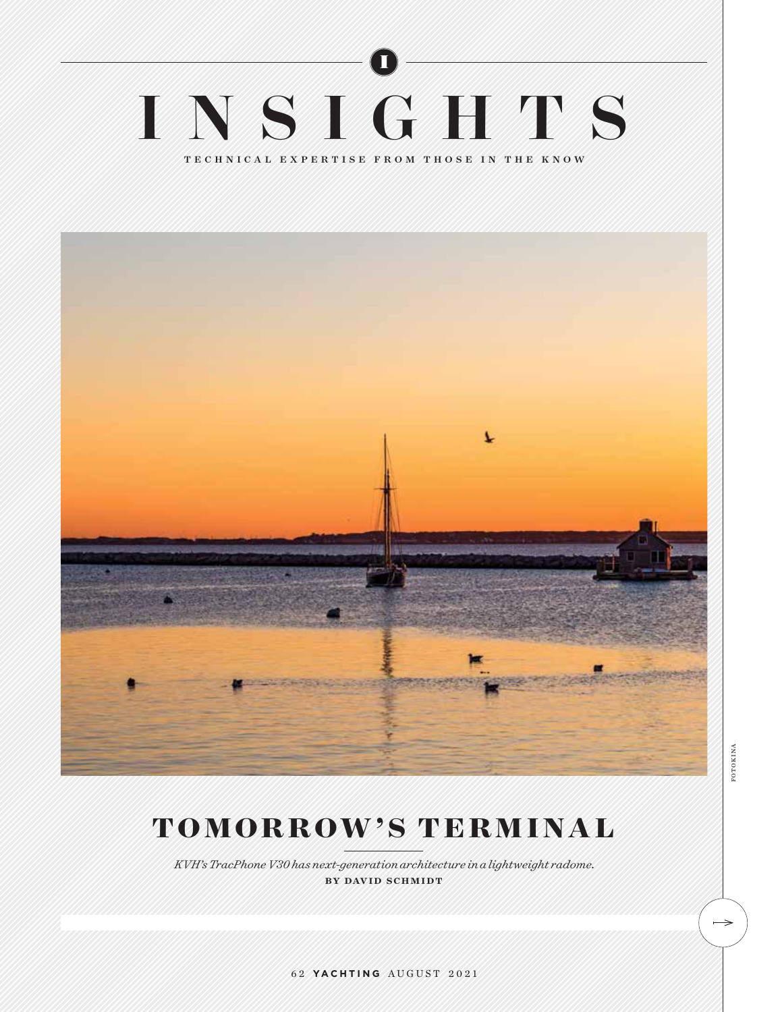# I INSIGHTS TECHNICAL EXPERTISE FROM THOSE IN THE KNOW



# **TOMORROW'S TERMINAL**

*KVH's TracPhone V30 has next-generation architecture in a lightweight radome.* by david schmidt

FOTOKINA fotokina

 $\rightarrow$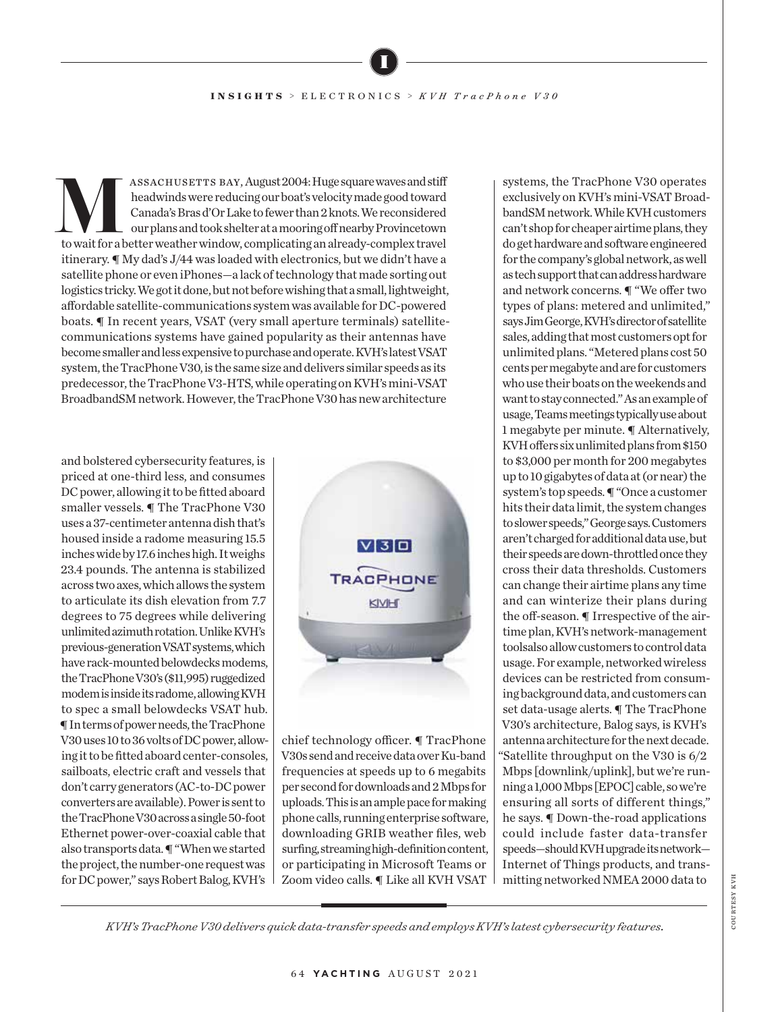### **INSIGHTS** > ELECTRONICS > *KVH TracPhone V30*

I

ASSACHUSETTS BAY, August 2004: Huge square waves and stiff<br>
theadwinds were reducing our boat's velocity made good toward<br>
Canada's Bras d'Or Lake to fewer than 2 knots. We reconsidered<br>
our plans and took shelter at a moo headwinds were reducing our boat's velocity made good toward Canada's Bras d'Or Lake to fewer than 2 knots. We reconsidered our plans and took shelter at a mooring off nearby Provincetown itinerary. ¶ My dad's J/44 was loaded with electronics, but we didn't have a satellite phone or even iPhones—a lack of technology that made sorting out logistics tricky. We got it done, but not before wishing that a small, lightweight, affordable satellite-communications system was available for DC-powered boats. ¶ In recent years, VSAT (very small aperture terminals) satellitecommunications systems have gained popularity as their antennas have become smaller and less expensive to purchase and operate. KVH's latest VSAT system, the TracPhone V30, is the same size and delivers similar speeds as its predecessor, the TracPhone V3-HTS, while operating on KVH's mini-VSAT BroadbandSM network. However, the TracPhone V30 has new architecture

and bolstered cybersecurity features, is priced at one-third less, and consumes DC power, allowing it to be fitted aboard smaller vessels. ¶ The TracPhone V30 uses a 37-centimeter antenna dish that's housed inside a radome measuring 15.5 inches wide by 17.6 inches high. It weighs 23.4 pounds. The antenna is stabilized across two axes, which allows the system to articulate its dish elevation from 7.7 degrees to 75 degrees while delivering unlimited azimuth rotation. Unlike KVH's previous-generation VSAT systems, which have rack-mounted belowdecks modems, the TracPhone V30's (\$11,995) ruggedized modem is inside its radome, allowing KVH to spec a small belowdecks VSAT hub. ¶ In terms of power needs, the TracPhone V30 uses 10 to 36 volts of DC power, allowing it to be fitted aboard center-consoles, sailboats, electric craft and vessels that don't carry generators (AC-to-DC power converters are available). Power is sent to the TracPhone V30 across a single 50-foot Ethernet power-over-coaxial cable that also transports data. ¶ "When we started the project, the number-one request was for DC power," says Robert Balog, KVH's



chief technology officer. ¶ TracPhone V30s send and receive data over Ku-band frequencies at speeds up to 6 megabits per second for downloads and 2 Mbps for uploads. This is an ample pace for making phone calls, running enterprise software, downloading GRIB weather files, web surfing, streaming high-definition content, or participating in Microsoft Teams or Zoom video calls. ¶ Like all KVH VSAT

systems, the TracPhone V30 operates exclusively on KVH's mini-VSAT BroadbandSM network. While KVH customers can't shop for cheaper airtime plans, they do get hardware and software engineered for the company's global network, as well as tech support that can address hardware and network concerns. ¶ "We offer two types of plans: metered and unlimited," says Jim George, KVH's director of satellite sales, adding that most customers opt for unlimited plans. "Metered plans cost 50 cents per megabyte and are for customers who use their boats on the weekends and want to stay connected." As an example of usage, Teams meetings typically use about 1 megabyte per minute. ¶ Alternatively, KVH offers six unlimited plans from \$150 to \$3,000 per month for 200 megabytes up to 10 gigabytes of data at (or near) the system's top speeds. ¶ "Once a customer hits their data limit, the system changes to slower speeds," George says. Customers aren't charged for additional data use, but their speeds are down-throttled once they cross their data thresholds. Customers can change their airtime plans any time and can winterize their plans during the off-season. ¶ Irrespective of the airtime plan, KVH's network-management toolsalso allow customers to control data usage. For example, networked wireless devices can be restricted from consuming background data, and customers can set data-usage alerts. ¶ The TracPhone V30's architecture, Balog says, is KVH's antenna architecture for the next decade. "Satellite throughput on the V30 is 6/2 Mbps [downlink/uplink], but we're running a 1,000 Mbps [EPOC] cable, so we're ensuring all sorts of different things," he says. ¶ Down-the-road applications could include faster data-transfer speeds—should KVH upgrade its network— Internet of Things products, and transmitting networked NMEA 2000 data to

COURTESY KVH courtesy kvh

*KVH's TracPhone V30 delivers quick data-transfer speeds and employs KVH's latest cybersecurity features.*